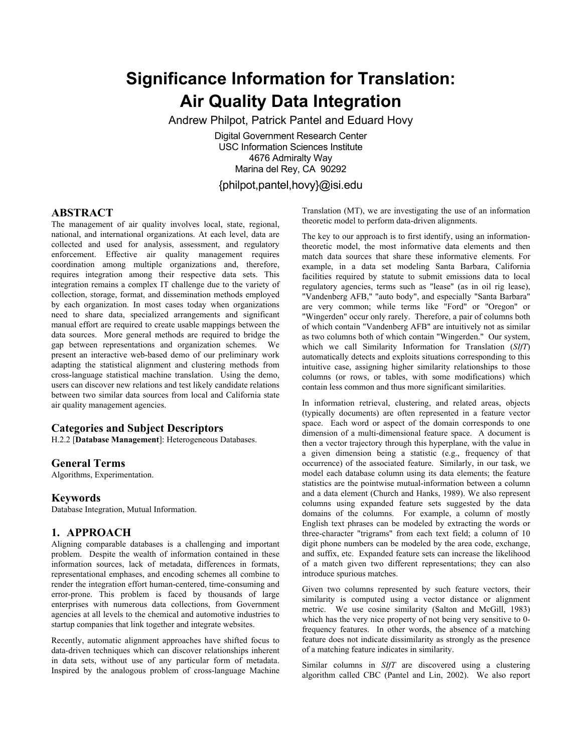# **Significance Information for Translation: Air Quality Data Integration**

Andrew Philpot, Patrick Pantel and Eduard Hovy

Digital Government Research Center USC Information Sciences Institute 4676 Admiralty Way Marina del Rey, CA 90292 {philpot,pantel,hovy}@isi.edu

## **ABSTRACT**

The management of air quality involves local, state, regional, national, and international organizations. At each level, data are collected and used for analysis, assessment, and regulatory enforcement. Effective air quality management requires coordination among multiple organizations and, therefore, requires integration among their respective data sets. This integration remains a complex IT challenge due to the variety of collection, storage, format, and dissemination methods employed by each organization. In most cases today when organizations need to share data, specialized arrangements and significant manual effort are required to create usable mappings between the data sources. More general methods are required to bridge the gap between representations and organization schemes. We present an interactive web-based demo of our preliminary work adapting the statistical alignment and clustering methods from cross-language statistical machine translation. Using the demo, users can discover new relations and test likely candidate relations between two similar data sources from local and California state air quality management agencies.

## **Categories and Subject Descriptors**

H.2.2 [**Database Management**]: Heterogeneous Databases.

#### **General Terms**

Algorithms, Experimentation.

#### **Keywords**

Database Integration, Mutual Information.

## **1. APPROACH**

Aligning comparable databases is a challenging and important problem. Despite the wealth of information contained in these information sources, lack of metadata, differences in formats, representational emphases, and encoding schemes all combine to render the integration effort human-centered, time-consuming and error-prone. This problem is faced by thousands of large enterprises with numerous data collections, from Government agencies at all levels to the chemical and automotive industries to startup companies that link together and integrate websites.

Recently, automatic alignment approaches have shifted focus to data-driven techniques which can discover relationships inherent in data sets, without use of any particular form of metadata. Inspired by the analogous problem of cross-language Machine

Translation (MT), we are investigating the use of an information theoretic model to perform data-driven alignments.

The key to our approach is to first identify, using an informationtheoretic model, the most informative data elements and then match data sources that share these informative elements. For example, in a data set modeling Santa Barbara, California facilities required by statute to submit emissions data to local regulatory agencies, terms such as "lease" (as in oil rig lease), "Vandenberg AFB," "auto body", and especially "Santa Barbara" are very common; while terms like "Ford" or "Oregon" or "Wingerden" occur only rarely. Therefore, a pair of columns both of which contain "Vandenberg AFB" are intuitively not as similar as two columns both of which contain "Wingerden." Our system, which we call Similarity Information for Translation (*SIfT*) automatically detects and exploits situations corresponding to this intuitive case, assigning higher similarity relationships to those columns (or rows, or tables, with some modifications) which contain less common and thus more significant similarities.

In information retrieval, clustering, and related areas, objects (typically documents) are often represented in a feature vector space. Each word or aspect of the domain corresponds to one dimension of a multi-dimensional feature space. A document is then a vector trajectory through this hyperplane, with the value in a given dimension being a statistic (e.g., frequency of that occurrence) of the associated feature. Similarly, in our task, we model each database column using its data elements; the feature statistics are the pointwise mutual-information between a column and a data element (Church and Hanks, 1989). We also represent columns using expanded feature sets suggested by the data domains of the columns. For example, a column of mostly English text phrases can be modeled by extracting the words or three-character "trigrams" from each text field; a column of 10 digit phone numbers can be modeled by the area code, exchange, and suffix, etc. Expanded feature sets can increase the likelihood of a match given two different representations; they can also introduce spurious matches.

Given two columns represented by such feature vectors, their similarity is computed using a vector distance or alignment metric. We use cosine similarity (Salton and McGill, 1983) which has the very nice property of not being very sensitive to 0 frequency features. In other words, the absence of a matching feature does not indicate dissimilarity as strongly as the presence of a matching feature indicates in similarity.

Similar columns in *SIfT* are discovered using a clustering algorithm called CBC (Pantel and Lin, 2002). We also report